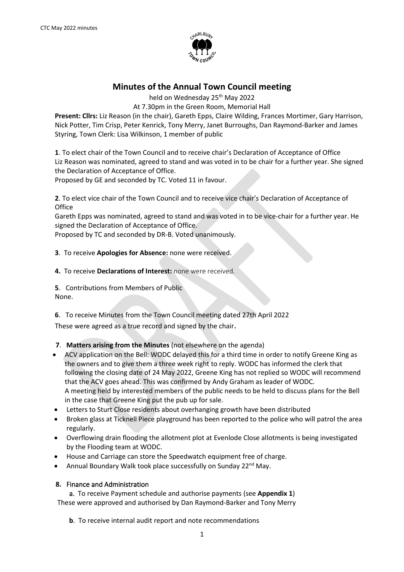

# **Minutes of the Annual Town Council meeting**

held on Wednesday 25<sup>th</sup> May 2022

At 7.30pm in the Green Room, Memorial Hall

**Present: Cllrs:** Liz Reason (in the chair), Gareth Epps, Claire Wilding, Frances Mortimer, Gary Harrison, Nick Potter, Tim Crisp, Peter Kenrick, Tony Merry, Janet Burroughs, Dan Raymond-Barker and James Styring, Town Clerk: Lisa Wilkinson, 1 member of public

**1**. To elect chair of the Town Council and to receive chair's Declaration of Acceptance of Office Liz Reason was nominated, agreed to stand and was voted in to be chair for a further year. She signed the Declaration of Acceptance of Office.

Proposed by GE and seconded by TC. Voted 11 in favour.

**2**. To elect vice chair of the Town Council and to receive vice chair's Declaration of Acceptance of **Office** 

Gareth Epps was nominated, agreed to stand and was voted in to be vice-chair for a further year. He signed the Declaration of Acceptance of Office.

Proposed by TC and seconded by DR-B. Voted unanimously.

- **3**. To receive **Apologies for Absence:** none were received.
- **4.** To receive **Declarations of Interest:** none were received.
- **5**. Contributions from Members of Public None.

**6**. To receive Minutes from the Town Council meeting dated 27th April 2022 These were agreed as a true record and signed by the chair.

### **7**. **Matters arising from the Minutes** (not elsewhere on the agenda)

- ACV application on the Bell: WODC delayed this for a third time in order to notify Greene King as the owners and to give them a three week right to reply. WODC has informed the clerk that following the closing date of 24 May 2022, Greene King has not replied so WODC will recommend that the ACV goes ahead. This was confirmed by Andy Graham as leader of WODC. A meeting held by interested members of the public needs to be held to discuss plans for the Bell in the case that Greene King put the pub up for sale.
- Letters to Sturt Close residents about overhanging growth have been distributed
- Broken glass at Ticknell Piece playground has been reported to the police who will patrol the area regularly.
- Overflowing drain flooding the allotment plot at Evenlode Close allotments is being investigated by the Flooding team at WODC.
- House and Carriage can store the Speedwatch equipment free of charge.
- Annual Boundary Walk took place successfully on Sunday 22<sup>nd</sup> May.

#### **8.** Finance and Administration

 a. To receive Payment schedule and authorise payments (see **Appendix 1**) These were approved and authorised by Dan Raymond-Barker and Tony Merry

**b**. To receive internal audit report and note recommendations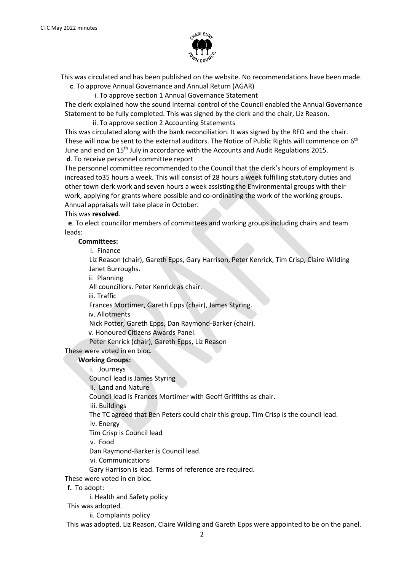

This was circulated and has been published on the website. No recommendations have been made.

**c**. To approve Annual Governance and Annual Return (AGAR)

i. To approve section 1 Annual Governance Statement

The clerk explained how the sound internal control of the Council enabled the Annual Governance Statement to be fully completed. This was signed by the clerk and the chair, Liz Reason.

ii. To approve section 2 Accounting Statements

This was circulated along with the bank reconciliation. It was signed by the RFO and the chair. These will now be sent to the external auditors. The Notice of Public Rights will commence on 6<sup>th</sup> June and end on 15<sup>th</sup> July in accordance with the Accounts and Audit Regulations 2015. **d**. To receive personnel committee report

The personnel committee recommended to the Council that the clerk's hours of employment is increased to35 hours a week. This will consist of 28 hours a week fulfilling statutory duties and other town clerk work and seven hours a week assisting the Environmental groups with their work, applying for grants where possible and co-ordinating the work of the working groups. Annual appraisals will take place in October.

This was **resolved**.

**e**. To elect councillor members of committees and working groups including chairs and team leads:

#### **Committees:**

i. Finance

Liz Reason (chair), Gareth Epps, Gary Harrison, Peter Kenrick, Tim Crisp, Claire Wilding Janet Burroughs.

ii. Planning

All councillors. Peter Kenrick as chair.

iii. Traffic

Frances Mortimer, Gareth Epps (chair), James Styring.

iv. Allotments

Nick Potter, Gareth Epps, Dan Raymond-Barker (chair).

v. Honoured Citizens Awards Panel.

Peter Kenrick (chair), Gareth Epps, Liz Reason

These were voted in en bloc.

**Working Groups:**

i. Journeys

Council lead is James Styring

ii. Land and Nature

Council lead is Frances Mortimer with Geoff Griffiths as chair.

iii. Buildings

The TC agreed that Ben Peters could chair this group. Tim Crisp is the council lead.

iv. Energy

Tim Crisp is Council lead

v. Food

Dan Raymond-Barker is Council lead.

vi. Communications

Gary Harrison is lead. Terms of reference are required.

These were voted in en bloc.

**f.** To adopt:

i. Health and Safety policy

This was adopted.

ii. Complaints policy

This was adopted. Liz Reason, Claire Wilding and Gareth Epps were appointed to be on the panel.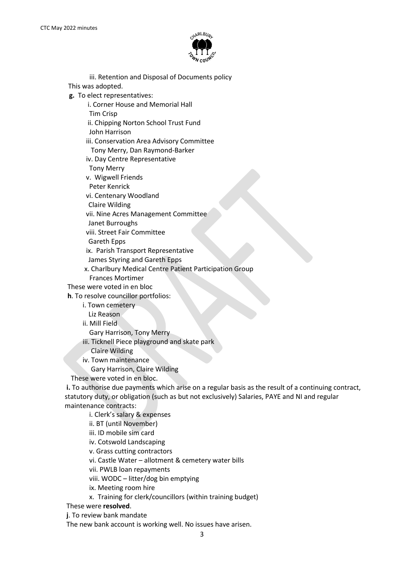

 iii. Retention and Disposal of Documents policy This was adopted.

**g.** To elect representatives:

i. Corner House and Memorial Hall

Tim Crisp

ii. Chipping Norton School Trust Fund

John Harrison

iii. Conservation Area Advisory Committee

Tony Merry, Dan Raymond-Barker

iv. Day Centre Representative

Tony Merry

v. Wigwell Friends

Peter Kenrick

vi. Centenary Woodland

Claire Wilding

vii. Nine Acres Management Committee

Janet Burroughs

viii. Street Fair Committee

Gareth Epps

ix. Parish Transport Representative

James Styring and Gareth Epps

 x. Charlbury Medical Centre Patient Participation Group Frances Mortimer

These were voted in en bloc

**h**. To resolve councillor portfolios:

i. Town cemetery

Liz Reason

ii. Mill Field

Gary Harrison, Tony Merry

iii. Ticknell Piece playground and skate park

Claire Wilding

iv. Town maintenance

Gary Harrison, Claire Wilding

These were voted in en bloc.

**i.** To authorise due payments which arise on a regular basis as the result of a continuing contract, statutory duty, or obligation (such as but not exclusively) Salaries, PAYE and NI and regular maintenance contracts:

i. Clerk's salary & expenses

ii. BT (until November)

iii. ID mobile sim card

iv. Cotswold Landscaping

v. Grass cutting contractors

vi. Castle Water – allotment & cemetery water bills

vii. PWLB loan repayments

viii. WODC – litter/dog bin emptying

ix. Meeting room hire

x. Training for clerk/councillors (within training budget)

These were **resolved**.

**j**. To review bank mandate

The new bank account is working well. No issues have arisen.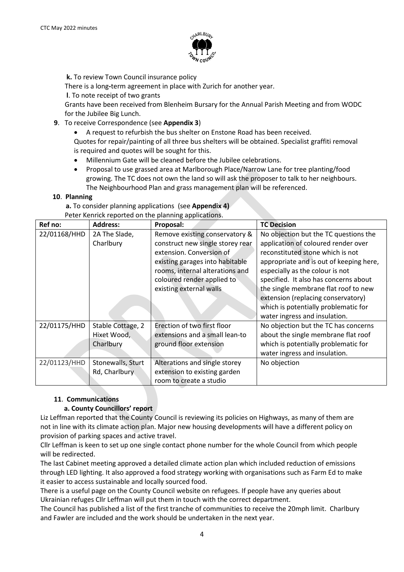

**k.** To review Town Council insurance policy

There is a long**-**term agreement in place with Zurich for another year.

**l**. To note receipt of two grants

Grants have been received from Blenheim Bursary for the Annual Parish Meeting and from WODC for the Jubilee Big Lunch.

### **9**. To receive Correspondence (see **Appendix 3**)

• A request to refurbish the bus shelter on Enstone Road has been received.

Quotes for repair/painting of all three bus shelters will be obtained. Specialist graffiti removal is required and quotes will be sought for this.

- Millennium Gate will be cleaned before the Jubilee celebrations.
- Proposal to use grassed area at Marlborough Place/Narrow Lane for tree planting/food growing. The TC does not own the land so will ask the proposer to talk to her neighbours. The Neighbourhood Plan and grass management plan will be referenced.

### **10**. **Planning**

 **a.** To consider planning applications (see **Appendix 4)** Peter Kenrick reported on the planning applications.

| Ref no:      | <b>Address:</b>   | Proposal:                        | <b>TC Decision</b>                      |
|--------------|-------------------|----------------------------------|-----------------------------------------|
| 22/01168/HHD | 2A The Slade,     | Remove existing conservatory &   | No objection but the TC questions the   |
|              | Charlbury         | construct new single storey rear | application of coloured render over     |
|              |                   | extension. Conversion of         | reconstituted stone which is not        |
|              |                   | existing garages into habitable  | appropriate and is out of keeping here, |
|              |                   | rooms, internal alterations and  | especially as the colour is not         |
|              |                   | coloured render applied to       | specified. It also has concerns about   |
|              |                   | existing external walls          | the single membrane flat roof to new    |
|              |                   |                                  | extension (replacing conservatory)      |
|              |                   |                                  | which is potentially problematic for    |
|              |                   |                                  | water ingress and insulation.           |
| 22/01175/HHD | Stable Cottage, 2 | Erection of two first floor      | No objection but the TC has concerns    |
|              | Hixet Wood,       | extensions and a small lean-to   | about the single membrane flat roof     |
|              | Charlbury         | ground floor extension           | which is potentially problematic for    |
|              |                   |                                  | water ingress and insulation.           |
| 22/01123/HHD | Stonewalls, Sturt | Alterations and single storey    | No objection                            |
|              | Rd, Charlbury     | extension to existing garden     |                                         |
|              |                   | room to create a studio          |                                         |

# **11**. **Communications**

### **a. County Councillors' report**

Liz Leffman reported that the County Council is reviewing its policies on Highways, as many of them are not in line with its climate action plan. Major new housing developments will have a different policy on provision of parking spaces and active travel.

Cllr Leffman is keen to set up one single contact phone number for the whole Council from which people will be redirected.

The last Cabinet meeting approved a detailed climate action plan which included reduction of emissions through LED lighting. It also approved a food strategy working with organisations such as Farm Ed to make it easier to access sustainable and locally sourced food.

There is a useful page on the County Council website on refugees. If people have any queries about Ukrainian refuges Cllr Leffman will put them in touch with the correct department.

The Council has published a list of the first tranche of communities to receive the 20mph limit. Charlbury and Fawler are included and the work should be undertaken in the next year.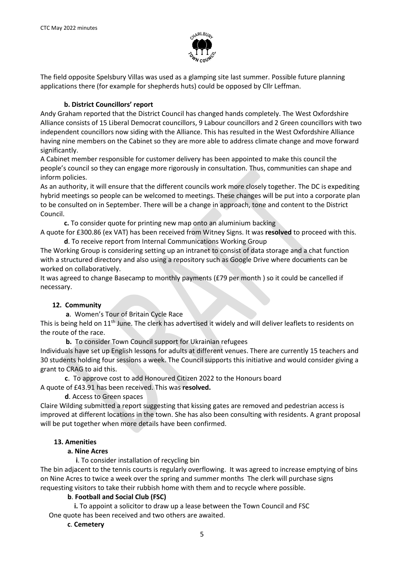

The field opposite Spelsbury Villas was used as a glamping site last summer. Possible future planning applications there (for example for shepherds huts) could be opposed by Cllr Leffman.

#### **b. District Councillors' report**

Andy Graham reported that the District Council has changed hands completely. The West Oxfordshire Alliance consists of 15 Liberal Democrat councillors, 9 Labour councillors and 2 Green councillors with two independent councillors now siding with the Alliance. This has resulted in the West Oxfordshire Alliance having nine members on the Cabinet so they are more able to address climate change and move forward significantly.

A Cabinet member responsible for customer delivery has been appointed to make this council the people's council so they can engage more rigorously in consultation. Thus, communities can shape and inform policies.

As an authority, it will ensure that the different councils work more closely together. The DC is expediting hybrid meetings so people can be welcomed to meetings. These changes will be put into a corporate plan to be consulted on in September. There will be a change in approach, tone and content to the District Council.

 **c.** To consider quote for printing new map onto an aluminium backing

A quote for £300.86 (ex VAT) has been received from Witney Signs. It was **resolved** to proceed with this.  **d**. To receive report from Internal Communications Working Group

The Working Group is considering setting up an intranet to consist of data storage and a chat function with a structured directory and also using a repository such as Google Drive where documents can be worked on collaboratively.

It was agreed to change Basecamp to monthly payments (£79 per month ) so it could be cancelled if necessary.

### **12. Community**

**a**. Women's Tour of Britain Cycle Race

This is being held on 11<sup>th</sup> June. The clerk has advertised it widely and will deliver leaflets to residents on the route of the race.

 **b.** To consider Town Council support for Ukrainian refugees

Individuals have set up English lessons for adults at different venues. There are currently 15 teachers and 30 students holding four sessions a week. The Council supports this initiative and would consider giving a grant to CRAG to aid this.

**c**. To approve cost to add Honoured Citizen 2022 to the Honours board A quote of £43.91 has been received. This was **resolved.**

**d**. Access to Green spaces

Claire Wilding submitted a report suggesting that kissing gates are removed and pedestrian access is improved at different locations in the town. She has also been consulting with residents. A grant proposal will be put together when more details have been confirmed.

### **13. Amenities**

#### **a. Nine Acres**

 **i**. To consider installation of recycling bin

The bin adjacent to the tennis courts is regularly overflowing. It was agreed to increase emptying of bins on Nine Acres to twice a week over the spring and summer months The clerk will purchase signs requesting visitors to take their rubbish home with them and to recycle where possible.

### **b**. **Football and Social Club (FSC)**

 **i.** To appoint a solicitor to draw up a lease between the Town Council and FSC One quote has been received and two others are awaited.

#### **c**. **Cemetery**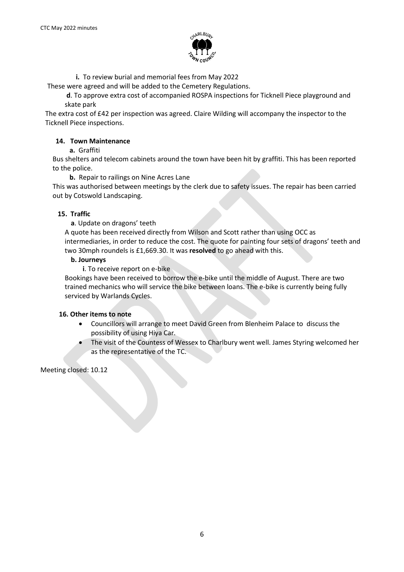

 **i.** To review burial and memorial fees from May 2022

These were agreed and will be added to the Cemetery Regulations.

**d**. To approve extra cost of accompanied ROSPA inspections for Ticknell Piece playground and skate park

The extra cost of £42 per inspection was agreed. Claire Wilding will accompany the inspector to the Ticknell Piece inspections.

#### **14. Town Maintenance**

 **a.** Graffiti

Bus shelters and telecom cabinets around the town have been hit by graffiti. This has been reported to the police.

**b.** Repair to railings on Nine Acres Lane

This was authorised between meetings by the clerk due to safety issues. The repair has been carried out by Cotswold Landscaping.

#### **15. Traffic**

**a**. Update on dragons' teeth

A quote has been received directly from Wilson and Scott rather than using OCC as intermediaries, in order to reduce the cost. The quote for painting four sets of dragons' teeth and two 30mph roundels is £1,669.30. It was **resolved** to go ahead with this.

#### **b. Journeys**

 **i**. To receive report on e-bike

Bookings have been received to borrow the e-bike until the middle of August. There are two trained mechanics who will service the bike between loans. The e-bike is currently being fully serviced by Warlands Cycles.

#### **16. Other items to note**

- Councillors will arrange to meet David Green from Blenheim Palace to discuss the possibility of using Hiya Car.
- The visit of the Countess of Wessex to Charlbury went well. James Styring welcomed her as the representative of the TC.

Meeting closed: 10.12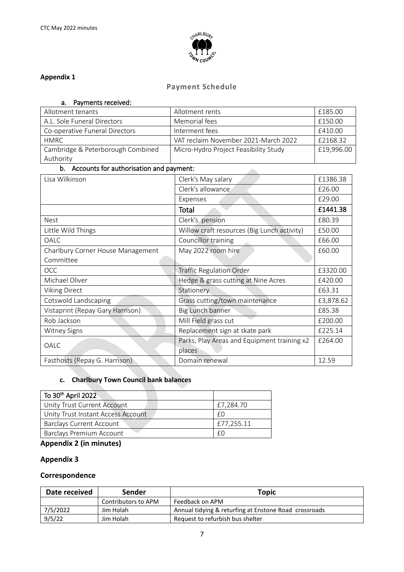

### **Appendix 1**

# **Payment Schedule**

| Payments received:<br>a.                     |                                             |            |
|----------------------------------------------|---------------------------------------------|------------|
| Allotment tenants                            | Allotment rents                             | £185.00    |
| A.L. Sole Funeral Directors<br>Memorial fees |                                             | £150.00    |
| Co-operative Funeral Directors               | Interment fees                              |            |
| <b>HMRC</b>                                  | VAT reclaim November 2021-March 2022        | £2168.32   |
| Cambridge & Peterborough Combined            | Micro-Hydro Project Feasibility Study       | £19,996.00 |
| Authority                                    |                                             |            |
| b. Accounts for authorisation and payment:   |                                             |            |
| Lisa Wilkinson                               | Clerk's May salary                          | £1386.38   |
|                                              | Clerk's allowance                           | £26.00     |
|                                              | Expenses                                    | £29.00     |
|                                              | <b>Total</b>                                | £1441.38   |
| <b>Nest</b>                                  | Clerk's pension                             | £80.39     |
| Little Wild Things                           | Willow craft resources (Big Lunch activity) | £50.00     |
| <b>OALC</b>                                  | Councillor training                         | £66.00     |
| Charlbury Corner House Management            | May 2022 room hire                          | £60.00     |
| Committee                                    |                                             |            |
| <b>OCC</b>                                   | <b>Traffic Regulation Order</b>             | £3320.00   |
| Michael Oliver                               | Hedge & grass cutting at Nine Acres         | £420.00    |
| <b>Viking Direct</b>                         | Stationery                                  | £63.31     |
| Cotswold Landscaping                         | Grass cutting/town maintenance              | £3,878.62  |
| Vistaprint (Repay Gary Harrison)             | Big Lunch banner                            | £85.38     |
| Rob Jackson                                  | Mill Field grass cut                        | £200.00    |
| <b>Witney Signs</b>                          | Replacement sign at skate park              | £225.14    |
|                                              | Parks, Play Areas and Equipment training x2 | £264.00    |
| OALC                                         | places                                      |            |
| Fasthosts (Repay G. Harrison)                | Domain renewal                              | 12.59      |

# **c. Charlbury Town Council bank balances**

| To 30 <sup>th</sup> April 2022     |            |
|------------------------------------|------------|
| Unity Trust Current Account        | £7,284.70  |
| Unity Trust Instant Access Account | £Ο         |
| Barclays Current Account           | £77,255.11 |
| <b>Barclays Premium Account</b>    | £С         |

# **Appendix 2 (in minutes)**

# **Appendix 3**

# **Correspondence**

| Date received | Sender              | Topic                                                 |
|---------------|---------------------|-------------------------------------------------------|
|               | Contributors to APM | Feedback on APM                                       |
| 7/5/2022      | Jim Holah           | Annual tidying & returfing at Enstone Road crossroads |
| 9/5/22        | Jim Holah           | Request to refurbish bus shelter                      |